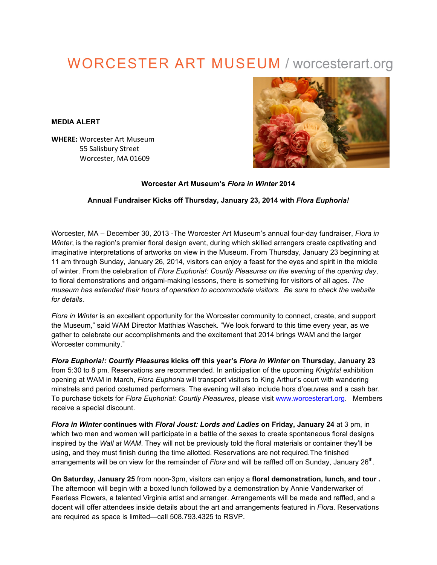## **WORCESTER ART MUSEUM / worcesterart.org**

**MEDIA ALERT**

**WHERE: Worcester Art Museum** 55 Salisbury Street Worcester, MA 01609



**Worcester Art Museum's** *Flora in Winter* **2014**

## **Annual Fundraiser Kicks off Thursday, January 23, 2014 with** *Flora Euphoria!*

Worcester, MA – December 30, 2013 -The Worcester Art Museum's annual four-day fundraiser, *Flora in Winter*, is the region's premier floral design event, during which skilled arrangers create captivating and imaginative interpretations of artworks on view in the Museum. From Thursday, January 23 beginning at 11 am through Sunday, January 26, 2014, visitors can enjoy a feast for the eyes and spirit in the middle of winter. From the celebration of *Flora Euphoria!: Courtly Pleasures on the evening of the opening day*, to floral demonstrations and origami-making lessons, there is something for visitors of all ages*. The museum has extended their hours of operation to accommodate visitors. Be sure to check the website for details*.

*Flora in Winter* is an excellent opportunity for the Worcester community to connect, create, and support the Museum," said WAM Director Matthias Waschek. "We look forward to this time every year, as we gather to celebrate our accomplishments and the excitement that 2014 brings WAM and the larger Worcester community."

*Flora Euphoria!: Courtly Pleasures* **kicks off this year's** *Flora in Winter* **on Thursday, January 23** from 5:30 to 8 pm. Reservations are recommended. In anticipation of the upcoming *Knights!* exhibition opening at WAM in March, *Flora Euphoria* will transport visitors to King Arthur's court with wandering minstrels and period costumed performers. The evening will also include hors d'oeuvres and a cash bar. To purchase tickets for *Flora Euphoria!: Courtly Pleasures*, please visit www.worcesterart.org. Members receive a special discount.

*Flora in Winter* **continues with** *Floral Joust: Lords and Ladies* **on Friday, January 24** at 3 pm, in which two men and women will participate in a battle of the sexes to create spontaneous floral designs inspired by the *Wall at WAM*. They will not be previously told the floral materials or container they'll be using, and they must finish during the time allotted. Reservations are not required.The finished arrangements will be on view for the remainder of *Flora* and will be raffled off on Sunday, January 26<sup>th</sup>.

**On Saturday, January 25** from noon-3pm, visitors can enjoy a **floral demonstration, lunch, and tour .** The afternoon will begin with a boxed lunch followed by a demonstration by Annie Vanderwarker of Fearless Flowers, a talented Virginia artist and arranger. Arrangements will be made and raffled, and a docent will offer attendees inside details about the art and arrangements featured in *Flora*. Reservations are required as space is limited—call 508.793.4325 to RSVP.